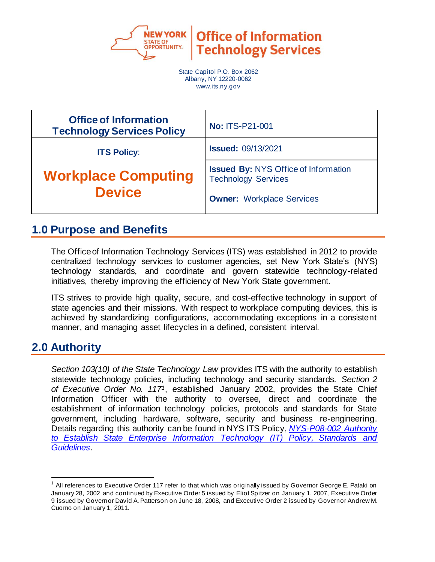

**Office of Information Technology Services** 

State Capitol P.O. Box 2062 Albany, NY 12220-0062 www.its.ny.gov

| <b>Office of Information</b><br><b>Technology Services Policy</b> | <b>No: ITS-P21-001</b>                                                                                        |
|-------------------------------------------------------------------|---------------------------------------------------------------------------------------------------------------|
| <b>ITS Policy:</b>                                                | <b>Issued: 09/13/2021</b>                                                                                     |
| <b>Workplace Computing</b><br><b>Device</b>                       | <b>Issued By: NYS Office of Information</b><br><b>Technology Services</b><br><b>Owner: Workplace Services</b> |

### **1.0 Purpose and Benefits**

The Office of Information Technology Services (ITS) was established in 2012 to provide centralized technology services to customer agencies, set New York State's (NYS) technology standards, and coordinate and govern statewide technology-related initiatives, thereby improving the efficiency of New York State government.

ITS strives to provide high quality, secure, and cost-effective technology in support of state agencies and their missions. With respect to workplace computing devices, this is achieved by standardizing configurations, accommodating exceptions in a consistent manner, and managing asset lifecycles in a defined, consistent interval.

# **2.0 Authority**

*Section 103(10) of the State Technology Law* provides ITS with the authority to establish statewide technology policies, including technology and security standards. *Section 2 of Executive Order No. 1171*, established January 2002, provides the State Chief Information Officer with the authority to oversee, direct and coordinate the establishment of information technology policies, protocols and standards for State government, including hardware, software, security and business re-engineering. Details regarding this authority can be found in NYS ITS Policy, *[NYS-P08-002 Authority](https://its.ny.gov/document/authority-establish-state-enterprise-information-technology-it-policy-standards-and-guidelines)  [to Establish State Enterprise Information Technology \(IT\) Policy, Standards and](https://its.ny.gov/document/authority-establish-state-enterprise-information-technology-it-policy-standards-and-guidelines)  [Guidelines](https://its.ny.gov/document/authority-establish-state-enterprise-information-technology-it-policy-standards-and-guidelines)*.

 $1$  All references to Executive Order 117 refer to that which was originally issued by Governor George E. Pataki on January 28, 2002 and continued by Executive Order 5 issued by Eliot Spitzer on January 1, 2007, Executive Order 9 issued by Governor David A. Patterson on June 18, 2008, and Executive Order 2 issued by Governor Andrew M. Cuomo on January 1, 2011.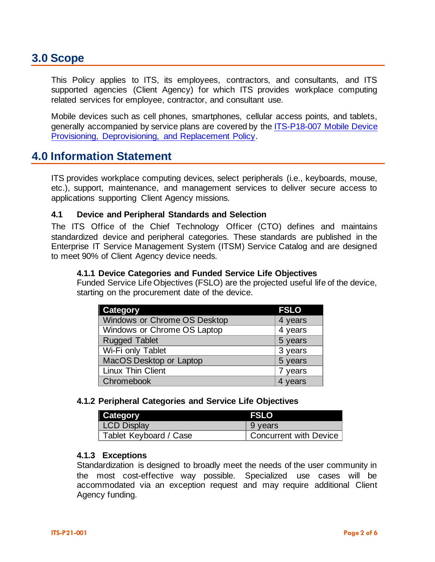### **3.0 Scope**

This Policy applies to ITS, its employees, contractors, and consultants, and ITS supported agencies (Client Agency) for which ITS provides workplace computing related services for employee, contractor, and consultant use.

Mobile devices such as cell phones, smartphones, cellular access points, and tablets, generally accompanied by service plans are covered by the ITS-P18-007 [Mobile Device](https://nysemail.sharepoint.com/sites/myITS/InsideEdge/Documents/ITS-P18-007%20Mobile%20Device%20Provisioning%20and%20Deprovisioning%20Policy.pdf)  [Provisioning, Deprovisioning, and Replacement Policy.](https://nysemail.sharepoint.com/sites/myITS/InsideEdge/Documents/ITS-P18-007%20Mobile%20Device%20Provisioning%20and%20Deprovisioning%20Policy.pdf)

### **4.0 Information Statement**

ITS provides workplace computing devices, select peripherals (i.e., keyboards, mouse, etc.), support, maintenance, and management services to deliver secure access to applications supporting Client Agency missions.

#### **4.1 Device and Peripheral Standards and Selection**

The ITS Office of the Chief Technology Officer (CTO) defines and maintains standardized device and peripheral categories. These standards are published in the Enterprise IT Service Management System (ITSM) Service Catalog and are designed to meet 90% of Client Agency device needs.

#### **4.1.1 Device Categories and Funded Service Life Objectives**

Funded Service Life Objectives (FSLO) are the projected useful life of the device, starting on the procurement date of the device.

| <b>Category</b>              | <b>FSLO</b> |
|------------------------------|-------------|
| Windows or Chrome OS Desktop | 4 years     |
| Windows or Chrome OS Laptop  | 4 years     |
| <b>Rugged Tablet</b>         | 5 years     |
| Wi-Fi only Tablet            | 3 years     |
| MacOS Desktop or Laptop      | 5 years     |
| <b>Linux Thin Client</b>     | 7 years     |
| Chromebook                   | 4 years     |

#### **4.1.2 Peripheral Categories and Service Life Objectives**

| Category               | <b>FSLO</b>            |
|------------------------|------------------------|
| <b>LCD Display</b>     | 9 years                |
| Tablet Keyboard / Case | Concurrent with Device |

#### **4.1.3 Exceptions**

Standardization is designed to broadly meet the needs of the user community in the most cost-effective way possible. Specialized use cases will be accommodated via an exception request and may require additional Client Agency funding.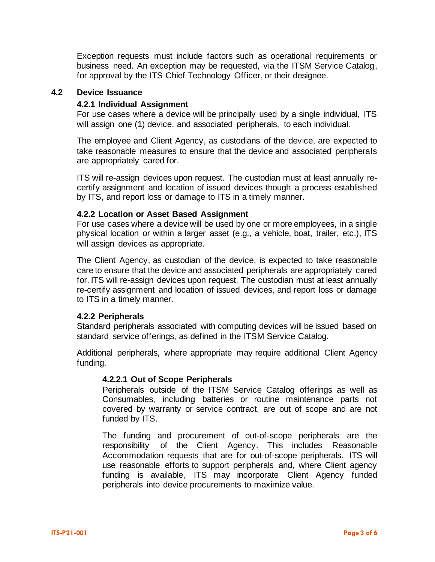Exception requests must include factors such as operational requirements or business need. An exception may be requested, via the ITSM Service Catalog, for approval by the ITS Chief Technology Officer, or their designee.

#### **4.2 Device Issuance**

#### **4.2.1 Individual Assignment**

For use cases where a device will be principally used by a single individual, ITS will assign one (1) device, and associated peripherals, to each individual.

The employee and Client Agency, as custodians of the device, are expected to take reasonable measures to ensure that the device and associated peripherals are appropriately cared for.

ITS will re-assign devices upon request. The custodian must at least annually recertify assignment and location of issued devices though a process established by ITS, and report loss or damage to ITS in a timely manner.

#### **4.2.2 Location or Asset Based Assignment**

For use cases where a device will be used by one or more employees, in a single physical location or within a larger asset (e.g., a vehicle, boat, trailer, etc.), ITS will assign devices as appropriate.

The Client Agency, as custodian of the device, is expected to take reasonable care to ensure that the device and associated peripherals are appropriately cared for. ITS will re-assign devices upon request. The custodian must at least annually re-certify assignment and location of issued devices, and report loss or damage to ITS in a timely manner.

#### **4.2.2 Peripherals**

Standard peripherals associated with computing devices will be issued based on standard service offerings, as defined in the ITSM Service Catalog.

Additional peripherals, where appropriate may require additional Client Agency funding.

#### **4.2.2.1 Out of Scope Peripherals**

Peripherals outside of the ITSM Service Catalog offerings as well as Consumables, including batteries or routine maintenance parts not covered by warranty or service contract, are out of scope and are not funded by ITS.

The funding and procurement of out-of-scope peripherals are the responsibility of the Client Agency. This includes Reasonable Accommodation requests that are for out-of-scope peripherals. ITS will use reasonable efforts to support peripherals and, where Client agency funding is available, ITS may incorporate Client Agency funded peripherals into device procurements to maximize value.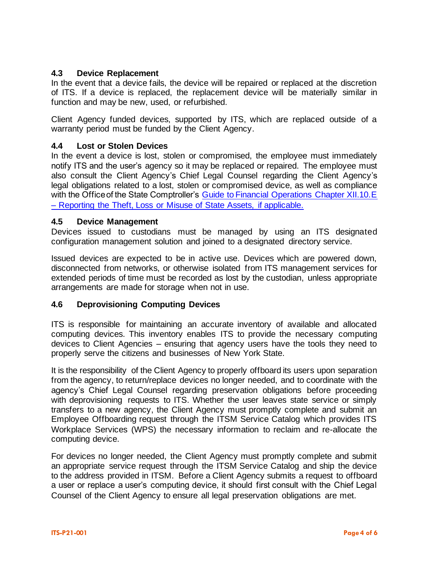### **4.3 Device Replacement**

In the event that a device fails, the device will be repaired or replaced at the discretion of ITS. If a device is replaced, the replacement device will be materially similar in function and may be new, used, or refurbished.

Client Agency funded devices, supported by ITS, which are replaced outside of a warranty period must be funded by the Client Agency.

### **4.4 Lost or Stolen Devices**

In the event a device is lost, stolen or compromised, the employee must immediately notify ITS and the user's agency so it may be replaced or repaired. The employee must also consult the Client Agency's Chief Legal Counsel regarding the Client Agency's legal obligations related to a lost, stolen or compromised device, as well as compliance with the Office of the State Comptroller's Guide to Financial Operations Chapter XII.10.E – [Reporting the Theft, Loss or Misuse of State Assets, if applicable.](https://web.osc.state.ny.us/agencies/guide/MyWebHelp/?redirect=legacy#XII/10/E.htm%3FTocPath%3DXII.%2520Expenditures%7C10.%2520Special%2520Considerations%7C_____5)

#### **4.5 Device Management**

Devices issued to custodians must be managed by using an ITS designated configuration management solution and joined to a designated directory service.

Issued devices are expected to be in active use. Devices which are powered down, disconnected from networks, or otherwise isolated from ITS management services for extended periods of time must be recorded as lost by the custodian, unless appropriate arrangements are made for storage when not in use.

#### **4.6 Deprovisioning Computing Devices**

ITS is responsible for maintaining an accurate inventory of available and allocated computing devices. This inventory enables ITS to provide the necessary computing devices to Client Agencies – ensuring that agency users have the tools they need to properly serve the citizens and businesses of New York State.

It is the responsibility of the Client Agency to properly offboard its users upon separation from the agency, to return/replace devices no longer needed, and to coordinate with the agency's Chief Legal Counsel regarding preservation obligations before proceeding with deprovisioning requests to ITS. Whether the user leaves state service or simply transfers to a new agency, the Client Agency must promptly complete and submit an Employee Offboarding request through the ITSM Service Catalog which provides ITS Workplace Services (WPS) the necessary information to reclaim and re-allocate the computing device.

For devices no longer needed, the Client Agency must promptly complete and submit an appropriate service request through the ITSM Service Catalog and ship the device to the address provided in ITSM. Before a Client Agency submits a request to offboard a user or replace a user's computing device, it should first consult with the Chief Legal Counsel of the Client Agency to ensure all legal preservation obligations are met.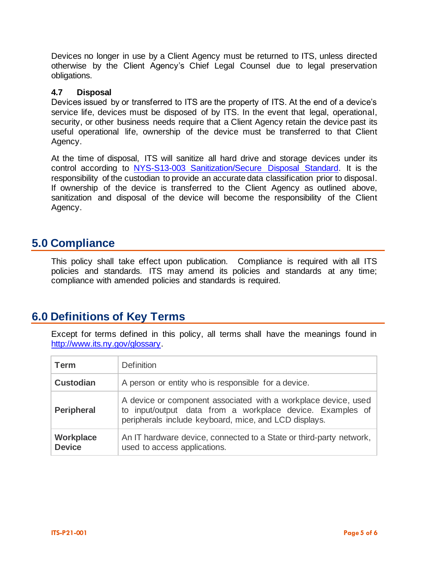Devices no longer in use by a Client Agency must be returned to ITS, unless directed otherwise by the Client Agency's Chief Legal Counsel due to legal preservation obligations.

### **4.7 Disposal**

Devices issued by or transferred to ITS are the property of ITS. At the end of a device's service life, devices must be disposed of by ITS. In the event that legal, operational, security, or other business needs require that a Client Agency retain the device past its useful operational life, ownership of the device must be transferred to that Client Agency.

At the time of disposal, ITS will sanitize all hard drive and storage devices under its control according to [NYS-S13-003 Sanitization/Secure Disposal Standard.](https://its.ny.gov/document/sanitization-secure-disposal-standard) It is the responsibility of the custodian to provide an accurate data classification prior to disposal. If ownership of the device is transferred to the Client Agency as outlined above, sanitization and disposal of the device will become the responsibility of the Client Agency.

### **5.0 Compliance**

This policy shall take effect upon publication. Compliance is required with all ITS policies and standards. ITS may amend its policies and standards at any time; compliance with amended policies and standards is required.

# **6.0 Definitions of Key Terms**

Except for terms defined in this policy, all terms shall have the meanings found in [http://www.its.ny.gov/glossary.](http://www.its.ny.gov/glossary)

| Term                       | <b>Definition</b>                                                                                                                                                                    |  |
|----------------------------|--------------------------------------------------------------------------------------------------------------------------------------------------------------------------------------|--|
| <b>Custodian</b>           | A person or entity who is responsible for a device.                                                                                                                                  |  |
| <b>Peripheral</b>          | A device or component associated with a workplace device, used<br>to input/output data from a workplace device. Examples of<br>peripherals include keyboard, mice, and LCD displays. |  |
| Workplace<br><b>Device</b> | An IT hardware device, connected to a State or third-party network,<br>used to access applications.                                                                                  |  |